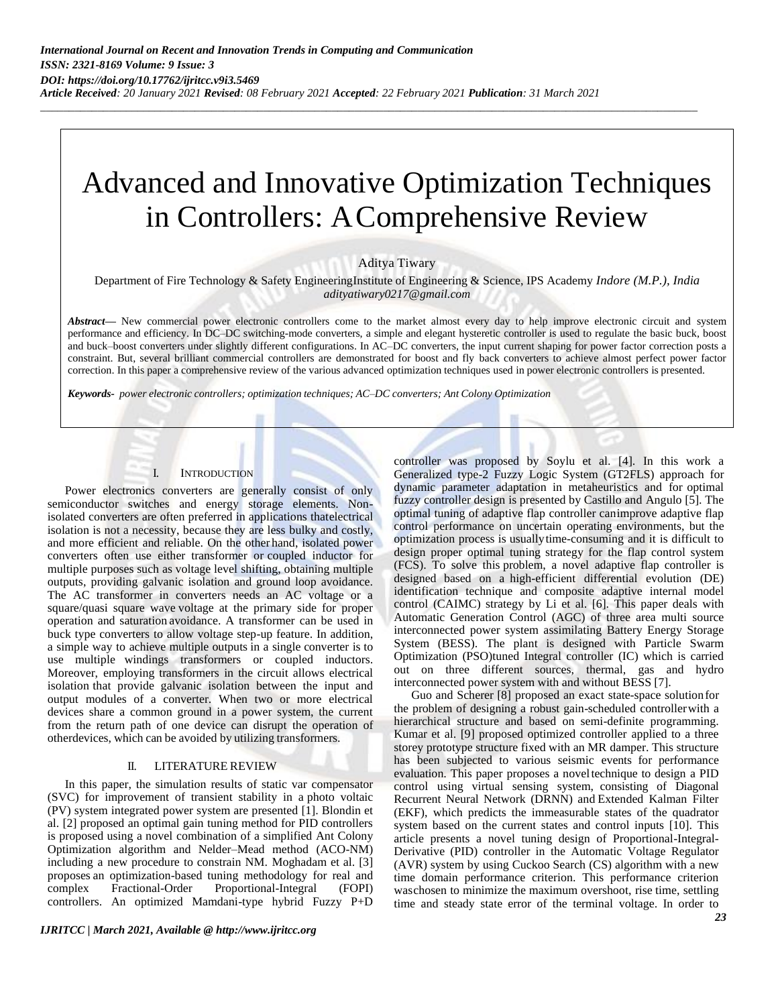# Advanced and Innovative Optimization Techniques in Controllers: AComprehensive Review

*\_\_\_\_\_\_\_\_\_\_\_\_\_\_\_\_\_\_\_\_\_\_\_\_\_\_\_\_\_\_\_\_\_\_\_\_\_\_\_\_\_\_\_\_\_\_\_\_\_\_\_\_\_\_\_\_\_\_\_\_\_\_\_\_\_\_\_\_\_\_\_\_\_\_\_\_\_\_\_\_\_\_\_\_\_\_\_\_\_\_\_\_\_\_\_\_\_\_\_\_\_\_\_\_\_\_\_\_\_\_\_\_\_\_\_*

#### Aditya Tiwary

Department of Fire Technology & Safety EngineeringInstitute of Engineering & Science, IPS Academy *Indore (M.P.), India [adityatiwary0217@gmail.com](mailto:adityatiwary0217@gmail.com)*

*Abstract***—** New commercial power electronic controllers come to the market almost every day to help improve electronic circuit and system performance and efficiency. In DC–DC switching-mode converters, a simple and elegant hysteretic controller is used to regulate the basic buck, boost and buck–boost converters under slightly different configurations. In AC–DC converters, the input current shaping for power factor correction posts a constraint. But, several brilliant commercial controllers are demonstrated for boost and fly back converters to achieve almost perfect power factor correction. In this paper a comprehensive review of the various advanced optimization techniques used in power electronic controllers is presented.

*Keywords- power electronic controllers; optimization techniques; AC–DC converters; Ant Colony Optimization*

### I. INTRODUCTION

Power electronics converters are generally consist of only semiconductor switches and energy storage elements. Nonisolated converters are often preferred in applications thatelectrical isolation is not a necessity, because they are less bulky and costly, and more efficient and reliable. On the other hand, isolated power converters often use either transformer or coupled inductor for multiple purposes such as voltage level shifting, obtaining multiple outputs, providing galvanic isolation and ground loop avoidance. The AC transformer in converters needs an AC voltage or a square/quasi square wave voltage at the primary side for proper operation and saturation avoidance. A transformer can be used in buck type converters to allow voltage step-up feature. In addition, a simple way to achieve multiple outputs in a single converter is to use multiple windings transformers or coupled inductors. Moreover, employing transformers in the circuit allows electrical isolation that provide galvanic isolation between the input and output modules of a converter. When two or more electrical devices share a common ground in a power system, the current from the return path of one device can disrupt the operation of otherdevices, which can be avoided by utilizing transformers.

#### II. LITERATURE REVIEW

In this paper, the simulation results of static var compensator (SVC) for improvement of transient stability in a photo voltaic (PV) system integrated power system are presented [1]. Blondin et al. [2] proposed an optimal gain tuning method for PID controllers is proposed using a novel combination of a simplified Ant Colony Optimization algorithm and Nelder–Mead method (ACO-NM) including a new procedure to constrain NM. Moghadam et al. [3] proposes an optimization-based tuning methodology for real and complex Fractional-Order Proportional-Integral (FOPI) controllers. An optimized Mamdani-type hybrid Fuzzy P+D

controller was proposed by Soylu et al. [4]. In this work a Generalized type-2 Fuzzy Logic System (GT2FLS) approach for dynamic parameter adaptation in metaheuristics and for optimal fuzzy controller design is presented by Castillo and Angulo [5]. The optimal tuning of adaptive flap controller canimprove adaptive flap control performance on uncertain operating environments, but the optimization process is usuallytime-consuming and it is difficult to design proper optimal tuning strategy for the flap control system (FCS). To solve this problem, a novel adaptive flap controller is designed based on a high-efficient differential evolution (DE) identification technique and composite adaptive internal model control (CAIMC) strategy by Li et al. [6]. This paper deals with Automatic Generation Control (AGC) of three area multi source interconnected power system assimilating Battery Energy Storage System (BESS). The plant is designed with Particle Swarm Optimization (PSO)tuned Integral controller (IC) which is carried out on three different sources, thermal, gas and hydro interconnected power system with and without BESS [7].

Guo and Scherer [8] proposed an exact state-space solutionfor the problem of designing a robust gain-scheduled controllerwith a hierarchical structure and based on semi-definite programming. Kumar et al. [9] proposed optimized controller applied to a three storey prototype structure fixed with an MR damper. This structure has been subjected to various seismic events for performance evaluation. This paper proposes a noveltechnique to design a PID control using virtual sensing system, consisting of Diagonal Recurrent Neural Network (DRNN) and Extended Kalman Filter (EKF), which predicts the immeasurable states of the quadrator system based on the current states and control inputs [10]. This article presents a novel tuning design of Proportional-Integral-Derivative (PID) controller in the Automatic Voltage Regulator (AVR) system by using Cuckoo Search (CS) algorithm with a new time domain performance criterion. This performance criterion waschosen to minimize the maximum overshoot, rise time, settling time and steady state error of the terminal voltage. In order to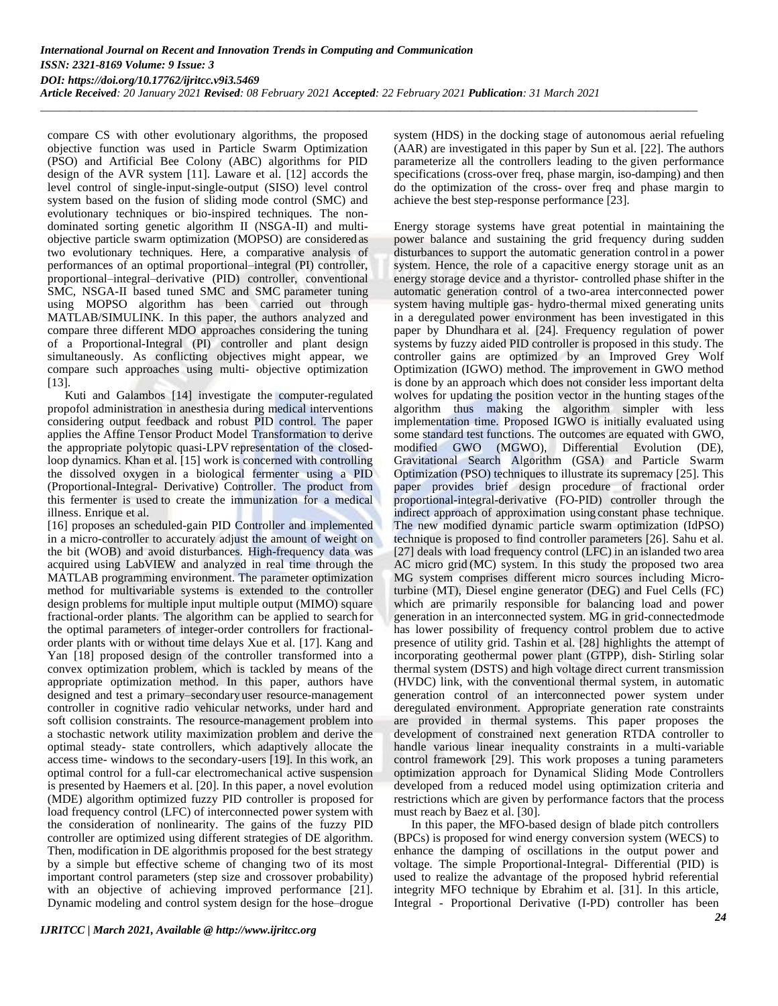*\_\_\_\_\_\_\_\_\_\_\_\_\_\_\_\_\_\_\_\_\_\_\_\_\_\_\_\_\_\_\_\_\_\_\_\_\_\_\_\_\_\_\_\_\_\_\_\_\_\_\_\_\_\_\_\_\_\_\_\_\_\_\_\_\_\_\_\_\_\_\_\_\_\_\_\_\_\_\_\_\_\_\_\_\_\_\_\_\_\_\_\_\_\_\_\_\_\_\_\_\_\_\_\_\_\_\_\_\_\_\_\_\_\_\_*

compare CS with other evolutionary algorithms, the proposed objective function was used in Particle Swarm Optimization (PSO) and Artificial Bee Colony (ABC) algorithms for PID design of the AVR system [11]. Laware et al. [12] accords the level control of single-input-single-output (SISO) level control system based on the fusion of sliding mode control (SMC) and evolutionary techniques or bio-inspired techniques. The nondominated sorting genetic algorithm II (NSGA-II) and multiobjective particle swarm optimization (MOPSO) are considered as two evolutionary techniques. Here, a comparative analysis of performances of an optimal proportional–integral (PI) controller, proportional–integral–derivative (PID) controller, conventional SMC, NSGA-II based tuned SMC and SMC parameter tuning using MOPSO algorithm has been carried out through MATLAB/SIMULINK. In this paper, the authors analyzed and compare three different MDO approaches considering the tuning of a Proportional-Integral (PI) controller and plant design simultaneously. As conflicting objectives might appear, we compare such approaches using multi- objective optimization [13].

Kuti and Galambos [14] investigate the computer-regulated propofol administration in anesthesia during medical interventions considering output feedback and robust PID control. The paper applies the Affine Tensor Product Model Transformation to derive the appropriate polytopic quasi-LPV representation of the closedloop dynamics. Khan et al. [15] work is concerned with controlling the dissolved oxygen in a biological fermenter using a PID (Proportional-Integral- Derivative) Controller. The product from this fermenter is used to create the immunization for a medical illness. Enrique et al.

[16] proposes an scheduled-gain PID Controller and implemented in a micro-controller to accurately adjust the amount of weight on the bit (WOB) and avoid disturbances. High-frequency data was acquired using LabVIEW and analyzed in real time through the MATLAB programming environment. The parameter optimization method for multivariable systems is extended to the controller design problems for multiple input multiple output (MIMO) square fractional-order plants. The algorithm can be applied to searchfor the optimal parameters of integer-order controllers for fractionalorder plants with or without time delays Xue et al. [17]. Kang and Yan [18] proposed design of the controller transformed into a convex optimization problem, which is tackled by means of the appropriate optimization method. In this paper, authors have designed and test a primary–secondary user resource-management controller in cognitive radio vehicular networks, under hard and soft collision constraints. The resource-management problem into a stochastic network utility maximization problem and derive the optimal steady- state controllers, which adaptively allocate the access time- windows to the secondary-users [19]. In this work, an optimal control for a full-car electromechanical active suspension is presented by Haemers et al. [20]. In this paper, a novel evolution (MDE) algorithm optimized fuzzy PID controller is proposed for load frequency control (LFC) of interconnected power system with the consideration of nonlinearity. The gains of the fuzzy PID controller are optimized using different strategies of DE algorithm. Then, modification in DE algorithmis proposed for the best strategy by a simple but effective scheme of changing two of its most important control parameters (step size and crossover probability) with an objective of achieving improved performance [21]. Dynamic modeling and control system design for the hose–drogue

system (HDS) in the docking stage of autonomous aerial refueling (AAR) are investigated in this paper by Sun et al. [22]. The authors parameterize all the controllers leading to the given performance specifications (cross-over freq, phase margin, iso-damping) and then do the optimization of the cross- over freq and phase margin to achieve the best step-response performance [23].

Energy storage systems have great potential in maintaining the power balance and sustaining the grid frequency during sudden disturbances to support the automatic generation control in a power system. Hence, the role of a capacitive energy storage unit as an energy storage device and a thyristor- controlled phase shifter in the automatic generation control of a two-area interconnected power system having multiple gas- hydro-thermal mixed generating units in a deregulated power environment has been investigated in this paper by Dhundhara et al. [24]. Frequency regulation of power systems by fuzzy aided PID controller is proposed in this study. The controller gains are optimized by an Improved Grey Wolf Optimization (IGWO) method. The improvement in GWO method is done by an approach which does not consider less important delta wolves for updating the position vector in the hunting stages ofthe algorithm thus making the algorithm simpler with less implementation time. Proposed IGWO is initially evaluated using some standard test functions. The outcomes are equated with GWO, modified GWO (MGWO), Differential Evolution (DE), Gravitational Search Algorithm (GSA) and Particle Swarm Optimization (PSO) techniques to illustrate its supremacy [25]. This paper provides brief design procedure of fractional order proportional-integral-derivative (FO-PID) controller through the indirect approach of approximation using constant phase technique. The new modified dynamic particle swarm optimization (IdPSO) technique is proposed to find controller parameters [26]. Sahu et al. [27] deals with load frequency control (LFC) in an islanded two area AC micro grid (MC) system. In this study the proposed two area MG system comprises different micro sources including Microturbine (MT), Diesel engine generator (DEG) and Fuel Cells (FC) which are primarily responsible for balancing load and power generation in an interconnected system. MG in grid-connectedmode has lower possibility of frequency control problem due to active presence of utility grid. Tashin et al. [28] highlights the attempt of incorporating geothermal power plant (GTPP), dish- Stirling solar thermal system (DSTS) and high voltage direct current transmission (HVDC) link, with the conventional thermal system, in automatic generation control of an interconnected power system under deregulated environment. Appropriate generation rate constraints are provided in thermal systems. This paper proposes the development of constrained next generation RTDA controller to handle various linear inequality constraints in a multi-variable control framework [29]. This work proposes a tuning parameters optimization approach for Dynamical Sliding Mode Controllers developed from a reduced model using optimization criteria and restrictions which are given by performance factors that the process must reach by Baez et al. [30].

In this paper, the MFO-based design of blade pitch controllers (BPCs) is proposed for wind energy conversion system (WECS) to enhance the damping of oscillations in the output power and voltage. The simple Proportional-Integral- Differential (PID) is used to realize the advantage of the proposed hybrid referential integrity MFO technique by Ebrahim et al. [31]. In this article, Integral - Proportional Derivative (I-PD) controller has been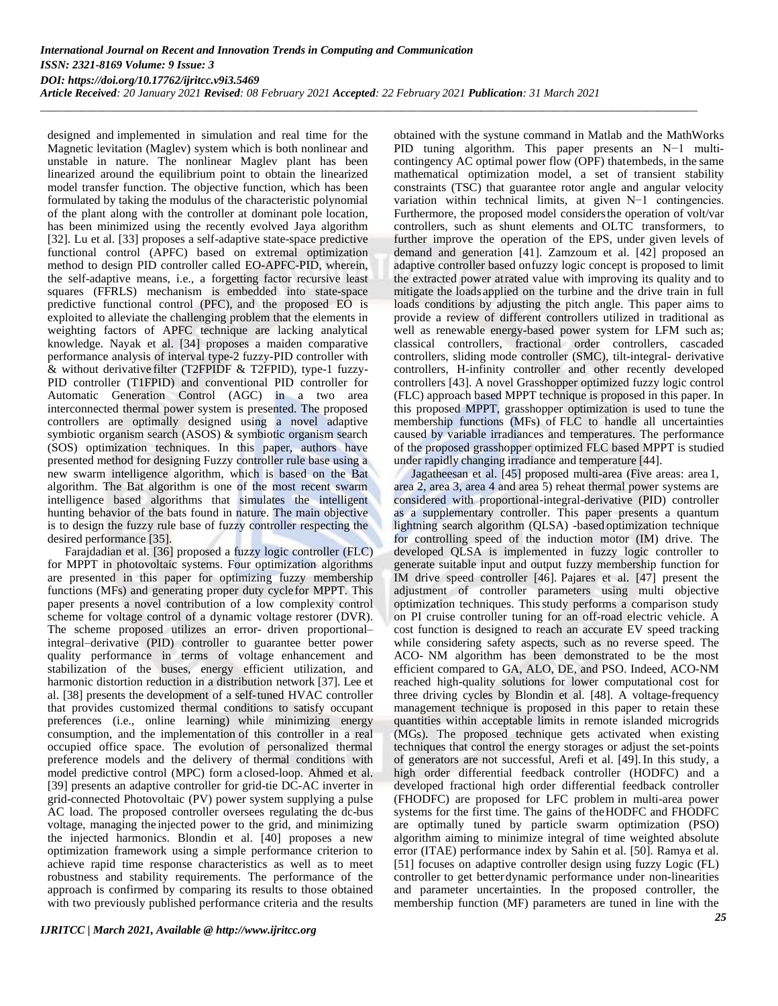*\_\_\_\_\_\_\_\_\_\_\_\_\_\_\_\_\_\_\_\_\_\_\_\_\_\_\_\_\_\_\_\_\_\_\_\_\_\_\_\_\_\_\_\_\_\_\_\_\_\_\_\_\_\_\_\_\_\_\_\_\_\_\_\_\_\_\_\_\_\_\_\_\_\_\_\_\_\_\_\_\_\_\_\_\_\_\_\_\_\_\_\_\_\_\_\_\_\_\_\_\_\_\_\_\_\_\_\_\_\_\_\_\_\_\_*

designed and implemented in simulation and real time for the Magnetic levitation (Maglev) system which is both nonlinear and unstable in nature. The nonlinear Maglev plant has been linearized around the equilibrium point to obtain the linearized model transfer function. The objective function, which has been formulated by taking the modulus of the characteristic polynomial of the plant along with the controller at dominant pole location, has been minimized using the recently evolved Jaya algorithm [32]. Lu et al. [33] proposes a self-adaptive state-space predictive functional control (APFC) based on extremal optimization method to design PID controller called EO-APFC-PID, wherein, the self-adaptive means, i.e., a forgetting factor recursive least squares (FFRLS) mechanism is embedded into state-space predictive functional control (PFC), and the proposed EO is exploited to alleviate the challenging problem that the elements in weighting factors of APFC technique are lacking analytical knowledge. Nayak et al. [34] proposes a maiden comparative performance analysis of interval type-2 fuzzy-PID controller with & without derivative filter (T2FPIDF & T2FPID), type-1 fuzzy-PID controller (T1FPID) and conventional PID controller for Automatic Generation Control (AGC) in a two area interconnected thermal power system is presented. The proposed controllers are optimally designed using a novel adaptive symbiotic organism search (ASOS) & symbiotic organism search (SOS) optimization techniques. In this paper, authors have presented method for designing Fuzzy controller rule base using a new swarm intelligence algorithm, which is based on the Bat algorithm. The Bat algorithm is one of the most recent swarm intelligence based algorithms that simulates the intelligent hunting behavior of the bats found in nature. The main objective is to design the fuzzy rule base of fuzzy controller respecting the desired performance [35].

Farajdadian et al. [36] proposed a fuzzy logic controller (FLC) for MPPT in photovoltaic systems. Four optimization algorithms are presented in this paper for optimizing fuzzy membership functions (MFs) and generating proper duty cycle for MPPT. This paper presents a novel contribution of a low complexity control scheme for voltage control of a dynamic voltage restorer (DVR). The scheme proposed utilizes an error- driven proportional– integral–derivative (PID) controller to guarantee better power quality performance in terms of voltage enhancement and stabilization of the buses, energy efficient utilization, and harmonic distortion reduction in a distribution network [37]. Lee et al. [38] presents the development of a self-tuned HVAC controller that provides customized thermal conditions to satisfy occupant preferences (i.e., online learning) while minimizing energy consumption, and the implementation of this controller in a real occupied office space. The evolution of personalized thermal preference models and the delivery of thermal conditions with model predictive control (MPC) form a closed-loop. Ahmed et al. [39] presents an adaptive controller for grid-tie DC-AC inverter in grid-connected Photovoltaic (PV) power system supplying a pulse AC load. The proposed controller oversees regulating the dc-bus voltage, managing the injected power to the grid, and minimizing the injected harmonics. Blondin et al. [40] proposes a new optimization framework using a simple performance criterion to achieve rapid time response characteristics as well as to meet robustness and stability requirements. The performance of the approach is confirmed by comparing its results to those obtained with two previously published performance criteria and the results

contingency AC optimal power flow (OPF) thatembeds, in the same mathematical optimization model, a set of transient stability constraints (TSC) that guarantee rotor angle and angular velocity variation within technical limits, at given N−1 contingencies. Furthermore, the proposed model considers the operation of volt/var controllers, such as shunt elements and OLTC transformers, to further improve the operation of the EPS, under given levels of demand and generation [41]. Zamzoum et al. [42] proposed an adaptive controller based onfuzzy logic concept is proposed to limit the extracted power atrated value with improving its quality and to mitigate the loads applied on the turbine and the drive train in full loads conditions by adjusting the pitch angle. This paper aims to provide a review of different controllers utilized in traditional as well as renewable energy-based power system for LFM such as; classical controllers, fractional order controllers, cascaded controllers, sliding mode controller (SMC), tilt-integral- derivative controllers, H-infinity controller and other recently developed controllers [43]. A novel Grasshopper optimized fuzzy logic control (FLC) approach based MPPT technique is proposed in this paper. In this proposed MPPT, grasshopper optimization is used to tune the membership functions (MFs) of FLC to handle all uncertainties caused by variable irradiances and temperatures. The performance of the proposed grasshopper optimized FLC based MPPT is studied under rapidly changing irradiance and temperature [44]. Jagatheesan et al. [45] proposed multi-area (Five areas: area 1,

obtained with the systune command in Matlab and the MathWorks PID tuning algorithm. This paper presents an N−1 multi-

area 2, area 3, area 4 and area 5) reheat thermal power systems are considered with proportional-integral-derivative (PID) controller as a supplementary controller. This paper presents a quantum lightning search algorithm (QLSA) -based optimization technique for controlling speed of the induction motor (IM) drive. The developed QLSA is implemented in fuzzy logic controller to generate suitable input and output fuzzy membership function for IM drive speed controller [46]. Pajares et al. [47] present the adjustment of controller parameters using multi objective optimization techniques. Thisstudy performs a comparison study on PI cruise controller tuning for an off-road electric vehicle. A cost function is designed to reach an accurate EV speed tracking while considering safety aspects, such as no reverse speed. The ACO- NM algorithm has been demonstrated to be the most efficient compared to GA, ALO, DE, and PSO. Indeed, ACO-NM reached high-quality solutions for lower computational cost for three driving cycles by Blondin et al. [48]. A voltage-frequency management technique is proposed in this paper to retain these quantities within acceptable limits in remote islanded microgrids (MGs). The proposed technique gets activated when existing techniques that control the energy storages or adjust the set-points of generators are not successful, Arefi et al. [49].In this study, a high order differential feedback controller (HODFC) and a developed fractional high order differential feedback controller (FHODFC) are proposed for LFC problem in multi-area power systems for the first time. The gains of theHODFC and FHODFC are optimally tuned by particle swarm optimization (PSO) algorithm aiming to minimize integral of time weighted absolute error (ITAE) performance index by Sahin et al. [50]. Ramya et al. [51] focuses on adaptive controller design using fuzzy Logic (FL) controller to get betterdynamic performance under non-linearities and parameter uncertainties. In the proposed controller, the membership function (MF) parameters are tuned in line with the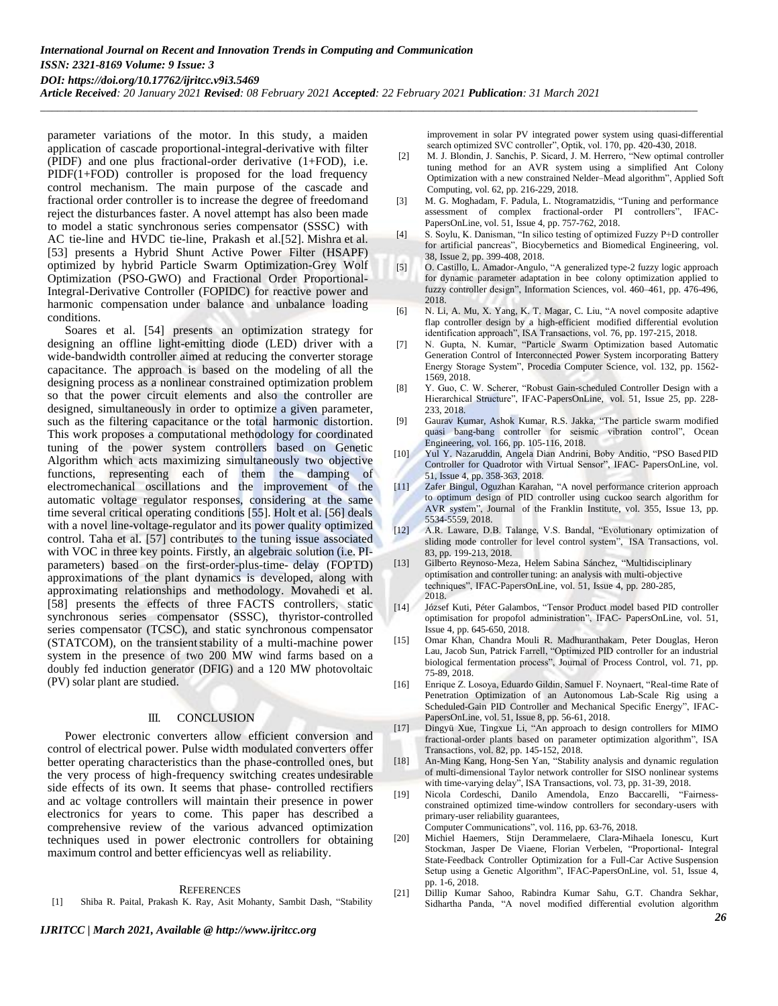*International Journal on Recent and Innovation Trends in Computing and Communication ISSN: 2321-8169 Volume: 9 Issue: 3 DOI: https://doi.org/10.17762/ijritcc.v9i3.5469 Article Received: 20 January 2021 Revised: 08 February 2021 Accepted: 22 February 2021 Publication: 31 March 2021*

*\_\_\_\_\_\_\_\_\_\_\_\_\_\_\_\_\_\_\_\_\_\_\_\_\_\_\_\_\_\_\_\_\_\_\_\_\_\_\_\_\_\_\_\_\_\_\_\_\_\_\_\_\_\_\_\_\_\_\_\_\_\_\_\_\_\_\_\_\_\_\_\_\_\_\_\_\_\_\_\_\_\_\_\_\_\_\_\_\_\_\_\_\_\_\_\_\_\_\_\_\_\_\_\_\_\_\_\_\_\_\_\_\_\_\_*

parameter variations of the motor. In this study, a maiden application of cascade proportional-integral-derivative with filter (PIDF) and one plus fractional-order derivative (1+FOD), i.e. PIDF(1+FOD) controller is proposed for the load frequency control mechanism. The main purpose of the cascade and fractional order controller is to increase the degree of freedomand reject the disturbances faster. A novel attempt has also been made to model a static synchronous series compensator (SSSC) with AC tie-line and HVDC tie-line, Prakash et al.[52]. Mishra et al. [53] presents a Hybrid Shunt Active Power Filter (HSAPF) optimized by hybrid Particle Swarm Optimization-Grey Wolf Optimization (PSO-GWO) and Fractional Order Proportional-Integral-Derivative Controller (FOPIDC) for reactive power and harmonic compensation under balance and unbalance loading conditions.

Soares et al. [54] presents an optimization strategy for designing an offline light-emitting diode (LED) driver with a wide-bandwidth controller aimed at reducing the converter storage capacitance. The approach is based on the modeling of all the designing process as a nonlinear constrained optimization problem so that the power circuit elements and also the controller are designed, simultaneously in order to optimize a given parameter, such as the filtering capacitance or the total harmonic distortion. This work proposes a computational methodology for coordinated tuning of the power system controllers based on Genetic Algorithm which acts maximizing simultaneously two objective functions, representing each of them the damping of electromechanical oscillations and the improvement of the automatic voltage regulator responses, considering at the same time several critical operating conditions [55]. Holt et al. [56] deals with a novel line-voltage-regulator and its power quality optimized control. Taha et al. [57] contributes to the tuning issue associated with VOC in three key points. Firstly, an algebraic solution (i.e. PIparameters) based on the first-order-plus-time- delay (FOPTD) approximations of the plant dynamics is developed, along with approximating relationships and methodology. Movahedi et al. [58] presents the effects of three FACTS controllers, static synchronous series compensator (SSSC), thyristor-controlled series compensator (TCSC), and static synchronous compensator (STATCOM), on the transient stability of a multi-machine power system in the presence of two 200 MW wind farms based on a doubly fed induction generator (DFIG) and a 120 MW photovoltaic (PV) solar plant are studied.

#### III. CONCLUSION

Power electronic converters allow efficient conversion and control of electrical power. Pulse width modulated converters offer better operating characteristics than the phase-controlled ones, but the very process of high-frequency switching creates undesirable side effects of its own. It seems that phase- controlled rectifiers and ac voltage controllers will maintain their presence in power electronics for years to come. This paper has described a comprehensive review of the various advanced optimization techniques used in power electronic controllers for obtaining maximum control and better efficiencyas well as reliability.

#### **REFERENCES**

[1] Shiba R. Paital, Prakash K. Ray, Asit Mohanty, Sambit Dash, "Stability

*IJRITCC | March 2021, Available @ [http://www.ijritcc.org](http://www.ijritcc.org/)*

improvement in solar PV integrated power system using quasi-differential search optimized SVC controller", Optik, vol. 170, pp. 420-430, 2018.

- [2] M. J. Blondin, J. Sanchis, P. Sicard, J. M. Herrero, "New optimal controller tuning method for an AVR system using a simplified Ant Colony Optimization with a new constrained Nelder–Mead algorithm", Applied Soft Computing, vol. 62, pp. 216-229, 2018.
- [3] M. G. Moghadam, F. Padula, L. Ntogramatzidis, "Tuning and performance assessment of complex fractional-order PI controllers", IFAC-PapersOnLine, vol. 51, Issue 4, pp. 757-762, 2018.
- [4] S. Soylu, K. Danisman, "In silico testing of optimized Fuzzy P+D controller for artificial pancreas", Biocybernetics and Biomedical Engineering, vol. 38, Issue 2, pp. 399-408, 2018.
- [5] O. Castillo, L. Amador-Angulo, "A generalized type-2 fuzzy logic approach for dynamic parameter adaptation in bee colony optimization applied to fuzzy controller design", Information Sciences, vol. 460–461, pp. 476-496, 2018.
- [6] N. Li, A. Mu, X. Yang, K. T. Magar, C. Liu, "A novel composite adaptive flap controller design by a high-efficient modified differential evolution identification approach", ISA Transactions, vol. 76, pp. 197-215, 2018.
- [7] N. Gupta, N. Kumar, "Particle Swarm Optimization based Automatic Generation Control of Interconnected Power System incorporating Battery Energy Storage System", Procedia Computer Science, vol. 132, pp. 1562- 1569, 2018.
- [8] Y. Guo, C. W. Scherer, "Robust Gain-scheduled Controller Design with a Hierarchical Structure", IFAC-PapersOnLine, vol. 51, Issue 25, pp. 228- 233, 2018.
- [9] Gaurav Kumar, Ashok Kumar, R.S. Jakka, "The particle swarm modified quasi bang-bang controller for seismic vibration control", Ocean Engineering, vol. 166, pp. 105-116, 2018.
- [10] Yul Y. Nazaruddin, Angela Dian Andrini, Boby Anditio, "PSO Based PID Controller for Quadrotor with Virtual Sensor", IFAC- PapersOnLine, vol. 51, Issue 4, pp. 358-363, 2018.
- [11] Zafer Bingul, Oguzhan Karahan, "A novel performance criterion approach to optimum design of PID controller using cuckoo search algorithm for AVR system", Journal of the Franklin Institute, vol. 355, Issue 13, pp. 5534-5559, 2018.
- [12] A.R. Laware, D.B. Talange, V.S. Bandal, "Evolutionary optimization of sliding mode controller for level control system", ISA Transactions, vol. 83, pp. 199-213, 2018.
- [13] Gilberto Reynoso-Meza, Helem Sabina Sánchez, "Multidisciplinary optimisation and controller tuning: an analysis with multi-objective techniques", IFAC-PapersOnLine, vol. 51, Issue 4, pp. 280-285, 2018.
- [14] József Kuti, Péter Galambos, "Tensor Product model based PID controller optimisation for propofol administration", IFAC- PapersOnLine, vol. 51, Issue 4, pp. 645-650, 2018.
- [15] Omar Khan, Chandra Mouli R. Madhuranthakam, Peter Douglas, Heron Lau, Jacob Sun, Patrick Farrell, "Optimized PID controller for an industrial biological fermentation process", Journal of Process Control, vol. 71, pp. 75-89, 2018.
- [16] Enrique Z. Losoya, Eduardo Gildin, Samuel F. Noynaert, "Real-time Rate of Penetration Optimization of an Autonomous Lab-Scale Rig using a Scheduled-Gain PID Controller and Mechanical Specific Energy", IFAC-PapersOnLine, vol. 51, Issue 8, pp. 56-61, 2018.
- [17] Dingyü Xue, Tingxue Li, "An approach to design controllers for MIMO fractional-order plants based on parameter optimization algorithm", ISA Transactions, vol. 82, pp. 145-152, 2018.
- [18] An-Ming Kang, Hong-Sen Yan, "Stability analysis and dynamic regulation of multi-dimensional Taylor network controller for SISO nonlinear systems with time-varying delay", ISA Transactions, vol. 73, pp. 31-39, 2018.
- [19] Nicola Cordeschi, Danilo Amendola, Enzo Baccarelli, "Fairnessconstrained optimized time-window controllers for secondary-users with primary-user reliability guarantees, Computer Communications", vol. 116, pp. 63-76, 2018.
- [20] Michiel Haemers, Stijn Derammelaere, Clara-Mihaela Ionescu, Kurt Stockman, Jasper De Viaene, Florian Verbelen, "Proportional- Integral State-Feedback Controller Optimization for a Full-Car Active Suspension Setup using a Genetic Algorithm", IFAC-PapersOnLine, vol. 51, Issue 4, pp. 1-6, 2018.
- [21] Dillip Kumar Sahoo, Rabindra Kumar Sahu, G.T. Chandra Sekhar, Sidhartha Panda, "A novel modified differential evolution algorithm